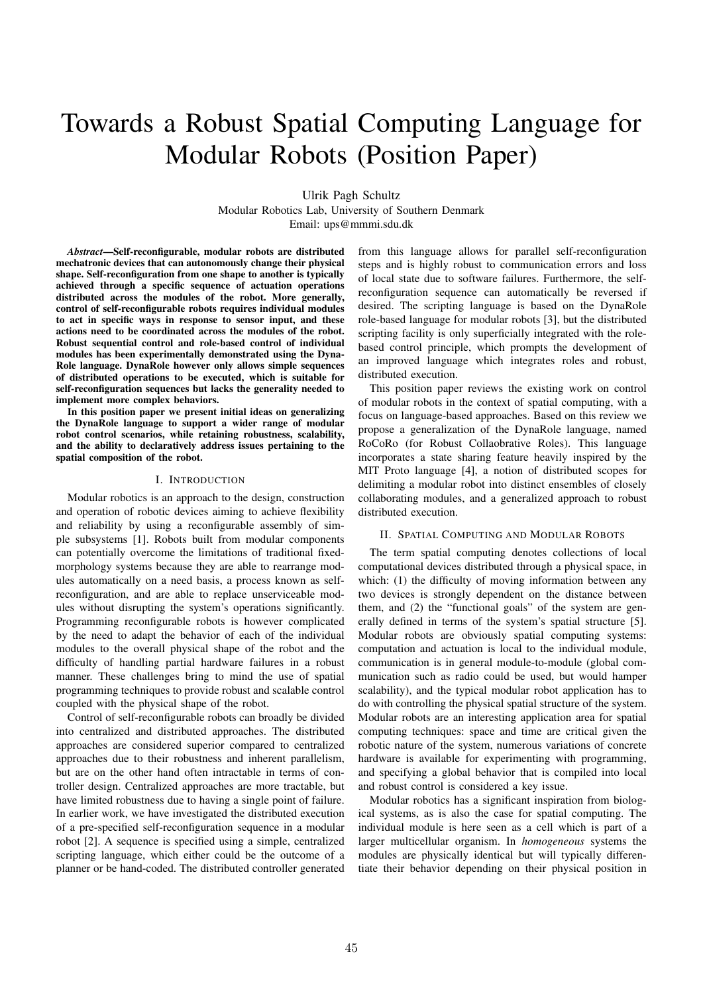# Towards a Robust Spatial Computing Language for Modular Robots (Position Paper)

Ulrik Pagh Schultz Modular Robotics Lab, University of Southern Denmark Email: ups@mmmi.sdu.dk

*Abstract*—Self-reconfigurable, modular robots are distributed mechatronic devices that can autonomously change their physical shape. Self-reconfiguration from one shape to another is typically achieved through a specific sequence of actuation operations distributed across the modules of the robot. More generally, control of self-reconfigurable robots requires individual modules to act in specific ways in response to sensor input, and these actions need to be coordinated across the modules of the robot. Robust sequential control and role-based control of individual modules has been experimentally demonstrated using the Dyna-Role language. DynaRole however only allows simple sequences of distributed operations to be executed, which is suitable for self-reconfiguration sequences but lacks the generality needed to implement more complex behaviors.

In this position paper we present initial ideas on generalizing the DynaRole language to support a wider range of modular robot control scenarios, while retaining robustness, scalability, and the ability to declaratively address issues pertaining to the spatial composition of the robot.

#### I. INTRODUCTION

Modular robotics is an approach to the design, construction and operation of robotic devices aiming to achieve flexibility and reliability by using a reconfigurable assembly of simple subsystems [1]. Robots built from modular components can potentially overcome the limitations of traditional fixedmorphology systems because they are able to rearrange modules automatically on a need basis, a process known as selfreconfiguration, and are able to replace unserviceable modules without disrupting the system's operations significantly. Programming reconfigurable robots is however complicated by the need to adapt the behavior of each of the individual modules to the overall physical shape of the robot and the difficulty of handling partial hardware failures in a robust manner. These challenges bring to mind the use of spatial programming techniques to provide robust and scalable control coupled with the physical shape of the robot.

Control of self-reconfigurable robots can broadly be divided into centralized and distributed approaches. The distributed approaches are considered superior compared to centralized approaches due to their robustness and inherent parallelism, but are on the other hand often intractable in terms of controller design. Centralized approaches are more tractable, but have limited robustness due to having a single point of failure. In earlier work, we have investigated the distributed execution of a pre-specified self-reconfiguration sequence in a modular robot [2]. A sequence is specified using a simple, centralized scripting language, which either could be the outcome of a planner or be hand-coded. The distributed controller generated

from this language allows for parallel self-reconfiguration steps and is highly robust to communication errors and loss of local state due to software failures. Furthermore, the selfreconfiguration sequence can automatically be reversed if desired. The scripting language is based on the DynaRole role-based language for modular robots [3], but the distributed scripting facility is only superficially integrated with the rolebased control principle, which prompts the development of an improved language which integrates roles and robust, distributed execution.

This position paper reviews the existing work on control of modular robots in the context of spatial computing, with a focus on language-based approaches. Based on this review we propose a generalization of the DynaRole language, named RoCoRo (for Robust Collaobrative Roles). This language incorporates a state sharing feature heavily inspired by the MIT Proto language [4], a notion of distributed scopes for delimiting a modular robot into distinct ensembles of closely collaborating modules, and a generalized approach to robust distributed execution.

## II. SPATIAL COMPUTING AND MODULAR ROBOTS

The term spatial computing denotes collections of local computational devices distributed through a physical space, in which: (1) the difficulty of moving information between any two devices is strongly dependent on the distance between them, and (2) the "functional goals" of the system are generally defined in terms of the system's spatial structure [5]. Modular robots are obviously spatial computing systems: computation and actuation is local to the individual module, communication is in general module-to-module (global communication such as radio could be used, but would hamper scalability), and the typical modular robot application has to do with controlling the physical spatial structure of the system. Modular robots are an interesting application area for spatial computing techniques: space and time are critical given the robotic nature of the system, numerous variations of concrete hardware is available for experimenting with programming, and specifying a global behavior that is compiled into local and robust control is considered a key issue.

Modular robotics has a significant inspiration from biological systems, as is also the case for spatial computing. The individual module is here seen as a cell which is part of a larger multicellular organism. In *homogeneous* systems the modules are physically identical but will typically differentiate their behavior depending on their physical position in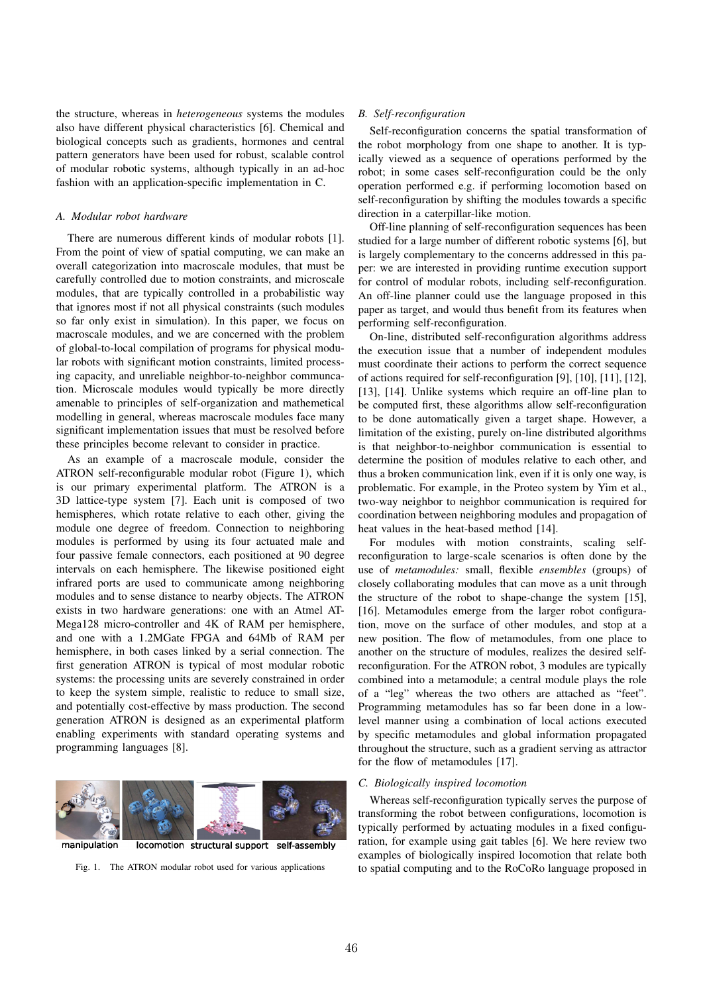the structure, whereas in *heterogeneous* systems the modules also have different physical characteristics [6]. Chemical and biological concepts such as gradients, hormones and central pattern generators have been used for robust, scalable control of modular robotic systems, although typically in an ad-hoc fashion with an application-specific implementation in C.

## *A. Modular robot hardware*

There are numerous different kinds of modular robots [1]. From the point of view of spatial computing, we can make an overall categorization into macroscale modules, that must be carefully controlled due to motion constraints, and microscale modules, that are typically controlled in a probabilistic way that ignores most if not all physical constraints (such modules so far only exist in simulation). In this paper, we focus on macroscale modules, and we are concerned with the problem of global-to-local compilation of programs for physical modular robots with significant motion constraints, limited processing capacity, and unreliable neighbor-to-neighbor communcation. Microscale modules would typically be more directly amenable to principles of self-organization and mathemetical modelling in general, whereas macroscale modules face many significant implementation issues that must be resolved before these principles become relevant to consider in practice.

As an example of a macroscale module, consider the ATRON self-reconfigurable modular robot (Figure 1), which is our primary experimental platform. The ATRON is a 3D lattice-type system [7]. Each unit is composed of two hemispheres, which rotate relative to each other, giving the module one degree of freedom. Connection to neighboring modules is performed by using its four actuated male and four passive female connectors, each positioned at 90 degree intervals on each hemisphere. The likewise positioned eight infrared ports are used to communicate among neighboring modules and to sense distance to nearby objects. The ATRON exists in two hardware generations: one with an Atmel AT-Mega128 micro-controller and 4K of RAM per hemisphere, and one with a 1.2MGate FPGA and 64Mb of RAM per hemisphere, in both cases linked by a serial connection. The first generation ATRON is typical of most modular robotic systems: the processing units are severely constrained in order to keep the system simple, realistic to reduce to small size, and potentially cost-effective by mass production. The second generation ATRON is designed as an experimental platform enabling experiments with standard operating systems and programming languages [8].



Fig. 1. The ATRON modular robot used for various applications

## *B. Self-reconfiguration*

Self-reconfiguration concerns the spatial transformation of the robot morphology from one shape to another. It is typically viewed as a sequence of operations performed by the robot; in some cases self-reconfiguration could be the only operation performed e.g. if performing locomotion based on self-reconfiguration by shifting the modules towards a specific direction in a caterpillar-like motion.

Off-line planning of self-reconfiguration sequences has been studied for a large number of different robotic systems [6], but is largely complementary to the concerns addressed in this paper: we are interested in providing runtime execution support for control of modular robots, including self-reconfiguration. An off-line planner could use the language proposed in this paper as target, and would thus benefit from its features when performing self-reconfiguration.

On-line, distributed self-reconfiguration algorithms address the execution issue that a number of independent modules must coordinate their actions to perform the correct sequence of actions required for self-reconfiguration [9], [10], [11], [12], [13], [14]. Unlike systems which require an off-line plan to be computed first, these algorithms allow self-reconfiguration to be done automatically given a target shape. However, a limitation of the existing, purely on-line distributed algorithms is that neighbor-to-neighbor communication is essential to determine the position of modules relative to each other, and thus a broken communication link, even if it is only one way, is problematic. For example, in the Proteo system by Yim et al., two-way neighbor to neighbor communication is required for coordination between neighboring modules and propagation of heat values in the heat-based method [14].

For modules with motion constraints, scaling selfreconfiguration to large-scale scenarios is often done by the use of *metamodules:* small, flexible *ensembles* (groups) of closely collaborating modules that can move as a unit through the structure of the robot to shape-change the system [15], [16]. Metamodules emerge from the larger robot configuration, move on the surface of other modules, and stop at a new position. The flow of metamodules, from one place to another on the structure of modules, realizes the desired selfreconfiguration. For the ATRON robot, 3 modules are typically combined into a metamodule; a central module plays the role of a "leg" whereas the two others are attached as "feet". Programming metamodules has so far been done in a lowlevel manner using a combination of local actions executed by specific metamodules and global information propagated throughout the structure, such as a gradient serving as attractor for the flow of metamodules [17].

# *C. Biologically inspired locomotion*

Whereas self-reconfiguration typically serves the purpose of transforming the robot between configurations, locomotion is typically performed by actuating modules in a fixed configuration, for example using gait tables [6]. We here review two examples of biologically inspired locomotion that relate both to spatial computing and to the RoCoRo language proposed in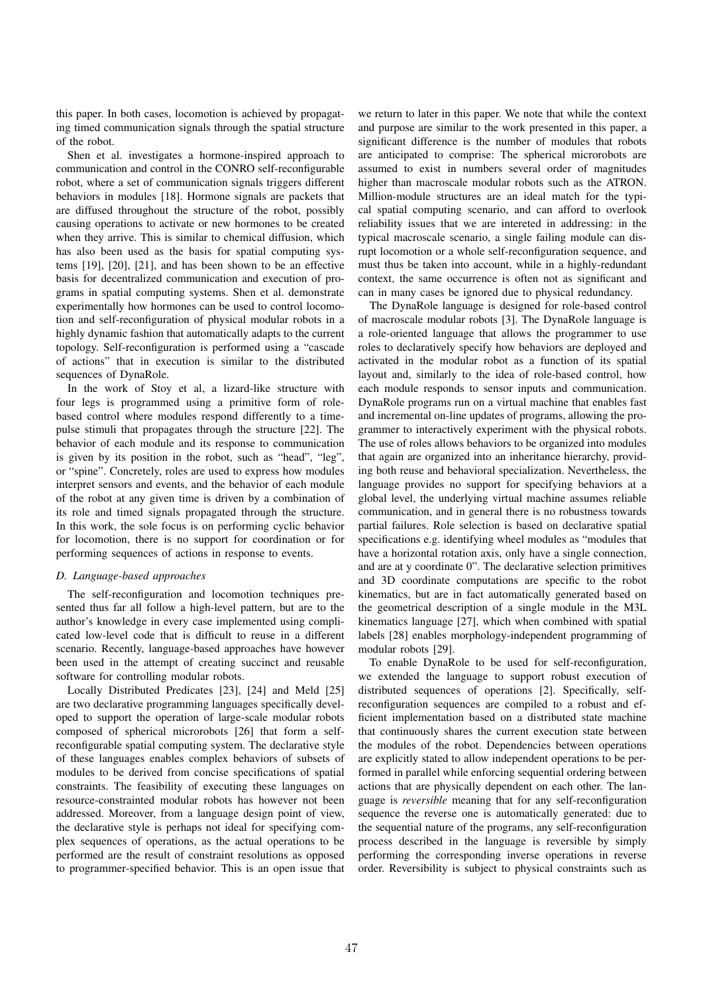this paper. In both cases, locomotion is achieved by propagating timed communication signals through the spatial structure of the robot.

Shen et al. investigates a hormone-inspired approach to communication and control in the CONRO self-reconfigurable robot, where a set of communication signals triggers different behaviors in modules [18]. Hormone signals are packets that are diffused throughout the structure of the robot, possibly causing operations to activate or new hormones to be created when they arrive. This is similar to chemical diffusion, which has also been used as the basis for spatial computing systems [19], [20], [21], and has been shown to be an effective basis for decentralized communication and execution of programs in spatial computing systems. Shen et al. demonstrate experimentally how hormones can be used to control locomotion and self-reconfiguration of physical modular robots in a highly dynamic fashion that automatically adapts to the current topology. Self-reconfiguration is performed using a "cascade of actions" that in execution is similar to the distributed sequences of DynaRole.

In the work of Stoy et al, a lizard-like structure with four legs is programmed using a primitive form of rolebased control where modules respond differently to a timepulse stimuli that propagates through the structure [22]. The behavior of each module and its response to communication is given by its position in the robot, such as "head", "leg", or "spine". Concretely, roles are used to express how modules interpret sensors and events, and the behavior of each module of the robot at any given time is driven by a combination of its role and timed signals propagated through the structure. In this work, the sole focus is on performing cyclic behavior for locomotion, there is no support for coordination or for performing sequences of actions in response to events.

# *D. Language-based approaches*

The self-reconfiguration and locomotion techniques presented thus far all follow a high-level pattern, but are to the author's knowledge in every case implemented using complicated low-level code that is difficult to reuse in a different scenario. Recently, language-based approaches have however been used in the attempt of creating succinct and reusable software for controlling modular robots.

Locally Distributed Predicates [23], [24] and Meld [25] are two declarative programming languages specifically developed to support the operation of large-scale modular robots composed of spherical microrobots [26] that form a selfreconfigurable spatial computing system. The declarative style of these languages enables complex behaviors of subsets of modules to be derived from concise specifications of spatial constraints. The feasibility of executing these languages on resource-constrainted modular robots has however not been addressed. Moreover, from a language design point of view, the declarative style is perhaps not ideal for specifying complex sequences of operations, as the actual operations to be performed are the result of constraint resolutions as opposed to programmer-specified behavior. This is an open issue that

we return to later in this paper. We note that while the context and purpose are similar to the work presented in this paper, a significant difference is the number of modules that robots are anticipated to comprise: The spherical microrobots are assumed to exist in numbers several order of magnitudes higher than macroscale modular robots such as the ATRON. Million-module structures are an ideal match for the typical spatial computing scenario, and can afford to overlook reliability issues that we are intereted in addressing: in the typical macroscale scenario, a single failing module can disrupt locomotion or a whole self-reconfiguration sequence, and must thus be taken into account, while in a highly-redundant context, the same occurrence is often not as significant and can in many cases be ignored due to physical redundancy.

The DynaRole language is designed for role-based control of macroscale modular robots [3]. The DynaRole language is a role-oriented language that allows the programmer to use roles to declaratively specify how behaviors are deployed and activated in the modular robot as a function of its spatial layout and, similarly to the idea of role-based control, how each module responds to sensor inputs and communication. DynaRole programs run on a virtual machine that enables fast and incremental on-line updates of programs, allowing the programmer to interactively experiment with the physical robots. The use of roles allows behaviors to be organized into modules that again are organized into an inheritance hierarchy, providing both reuse and behavioral specialization. Nevertheless, the language provides no support for specifying behaviors at a global level, the underlying virtual machine assumes reliable communication, and in general there is no robustness towards partial failures. Role selection is based on declarative spatial specifications e.g. identifying wheel modules as "modules that have a horizontal rotation axis, only have a single connection, and are at y coordinate 0". The declarative selection primitives and 3D coordinate computations are specific to the robot kinematics, but are in fact automatically generated based on the geometrical description of a single module in the M3L kinematics language [27], which when combined with spatial labels [28] enables morphology-independent programming of modular robots [29].

To enable DynaRole to be used for self-reconfiguration, we extended the language to support robust execution of distributed sequences of operations [2]. Specifically, selfreconfiguration sequences are compiled to a robust and efficient implementation based on a distributed state machine that continuously shares the current execution state between the modules of the robot. Dependencies between operations are explicitly stated to allow independent operations to be performed in parallel while enforcing sequential ordering between actions that are physically dependent on each other. The language is *reversible* meaning that for any self-reconfiguration sequence the reverse one is automatically generated: due to the sequential nature of the programs, any self-reconfiguration process described in the language is reversible by simply performing the corresponding inverse operations in reverse order. Reversibility is subject to physical constraints such as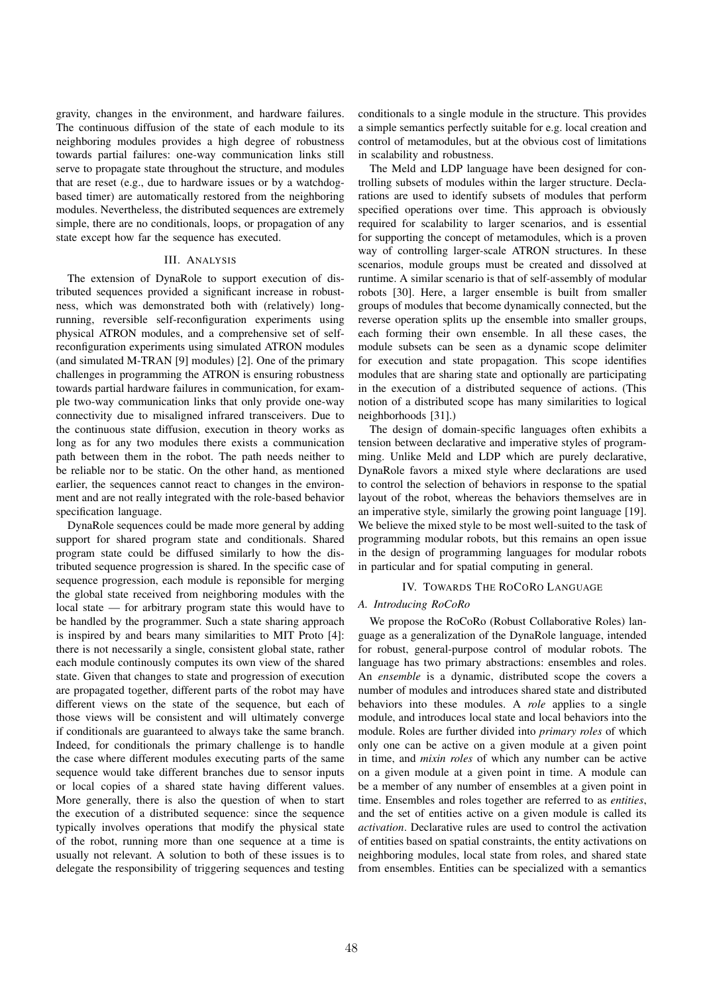gravity, changes in the environment, and hardware failures. The continuous diffusion of the state of each module to its neighboring modules provides a high degree of robustness towards partial failures: one-way communication links still serve to propagate state throughout the structure, and modules that are reset (e.g., due to hardware issues or by a watchdogbased timer) are automatically restored from the neighboring modules. Nevertheless, the distributed sequences are extremely simple, there are no conditionals, loops, or propagation of any state except how far the sequence has executed.

# III. ANALYSIS

The extension of DynaRole to support execution of distributed sequences provided a significant increase in robustness, which was demonstrated both with (relatively) longrunning, reversible self-reconfiguration experiments using physical ATRON modules, and a comprehensive set of selfreconfiguration experiments using simulated ATRON modules (and simulated M-TRAN [9] modules) [2]. One of the primary challenges in programming the ATRON is ensuring robustness towards partial hardware failures in communication, for example two-way communication links that only provide one-way connectivity due to misaligned infrared transceivers. Due to the continuous state diffusion, execution in theory works as long as for any two modules there exists a communication path between them in the robot. The path needs neither to be reliable nor to be static. On the other hand, as mentioned earlier, the sequences cannot react to changes in the environment and are not really integrated with the role-based behavior specification language.

DynaRole sequences could be made more general by adding support for shared program state and conditionals. Shared program state could be diffused similarly to how the distributed sequence progression is shared. In the specific case of sequence progression, each module is reponsible for merging the global state received from neighboring modules with the local state — for arbitrary program state this would have to be handled by the programmer. Such a state sharing approach is inspired by and bears many similarities to MIT Proto [4]: there is not necessarily a single, consistent global state, rather each module continously computes its own view of the shared state. Given that changes to state and progression of execution are propagated together, different parts of the robot may have different views on the state of the sequence, but each of those views will be consistent and will ultimately converge if conditionals are guaranteed to always take the same branch. Indeed, for conditionals the primary challenge is to handle the case where different modules executing parts of the same sequence would take different branches due to sensor inputs or local copies of a shared state having different values. More generally, there is also the question of when to start the execution of a distributed sequence: since the sequence typically involves operations that modify the physical state of the robot, running more than one sequence at a time is usually not relevant. A solution to both of these issues is to delegate the responsibility of triggering sequences and testing

conditionals to a single module in the structure. This provides a simple semantics perfectly suitable for e.g. local creation and control of metamodules, but at the obvious cost of limitations in scalability and robustness.

The Meld and LDP language have been designed for controlling subsets of modules within the larger structure. Declarations are used to identify subsets of modules that perform specified operations over time. This approach is obviously required for scalability to larger scenarios, and is essential for supporting the concept of metamodules, which is a proven way of controlling larger-scale ATRON structures. In these scenarios, module groups must be created and dissolved at runtime. A similar scenario is that of self-assembly of modular robots [30]. Here, a larger ensemble is built from smaller groups of modules that become dynamically connected, but the reverse operation splits up the ensemble into smaller groups, each forming their own ensemble. In all these cases, the module subsets can be seen as a dynamic scope delimiter for execution and state propagation. This scope identifies modules that are sharing state and optionally are participating in the execution of a distributed sequence of actions. (This notion of a distributed scope has many similarities to logical neighborhoods [31].)

The design of domain-specific languages often exhibits a tension between declarative and imperative styles of programming. Unlike Meld and LDP which are purely declarative, DynaRole favors a mixed style where declarations are used to control the selection of behaviors in response to the spatial layout of the robot, whereas the behaviors themselves are in an imperative style, similarly the growing point language [19]. We believe the mixed style to be most well-suited to the task of programming modular robots, but this remains an open issue in the design of programming languages for modular robots in particular and for spatial computing in general.

# IV. TOWARDS THE ROCORO LANGUAGE

## *A. Introducing RoCoRo*

We propose the RoCoRo (Robust Collaborative Roles) language as a generalization of the DynaRole language, intended for robust, general-purpose control of modular robots. The language has two primary abstractions: ensembles and roles. An *ensemble* is a dynamic, distributed scope the covers a number of modules and introduces shared state and distributed behaviors into these modules. A *role* applies to a single module, and introduces local state and local behaviors into the module. Roles are further divided into *primary roles* of which only one can be active on a given module at a given point in time, and *mixin roles* of which any number can be active on a given module at a given point in time. A module can be a member of any number of ensembles at a given point in time. Ensembles and roles together are referred to as *entities*, and the set of entities active on a given module is called its *activation*. Declarative rules are used to control the activation of entities based on spatial constraints, the entity activations on neighboring modules, local state from roles, and shared state from ensembles. Entities can be specialized with a semantics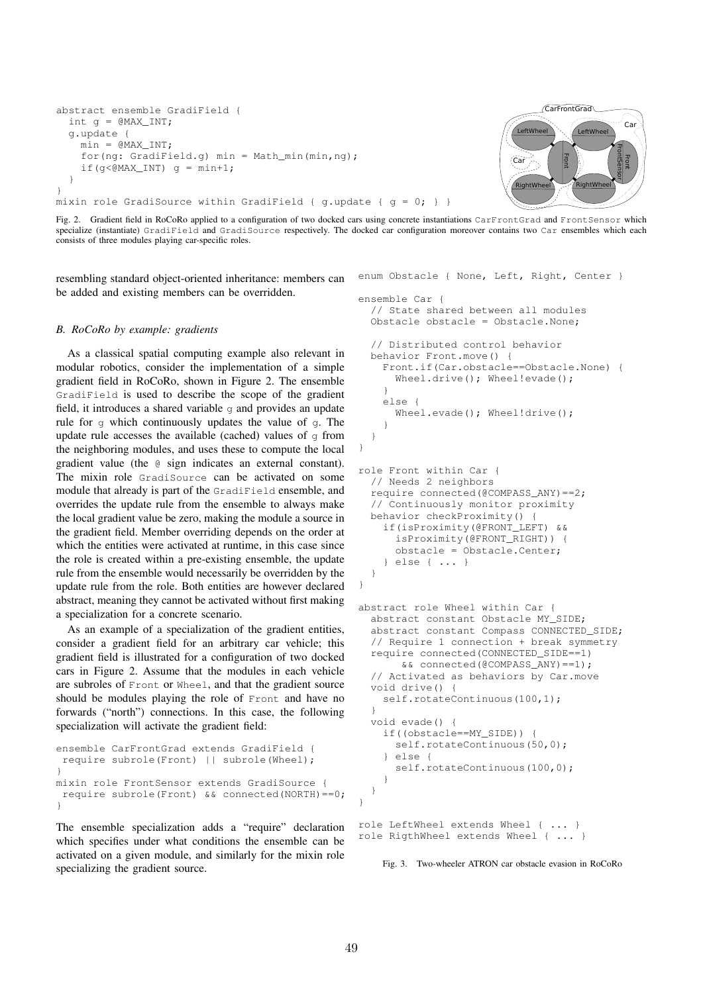```
abstract ensemble GradiField {
  int q = \texttt{QMAX} \texttt{INT};g.update {
    min = \texttt{QMAX} INT;
    for(ng: GradiField.g) min = Math min(min,ng);
    if(g<@MAX_INT) g = min+1;
  }
}
mixin role GradiSource within GradiField { q.update { q = 0; } }
```


Fig. 2. Gradient field in RoCoRo applied to a configuration of two docked cars using concrete instantiations CarFrontGrad and FrontSensor which specialize (instantiate) GradiField and GradiSource respectively. The docked car configuration moreover contains two Car ensembles which each consists of three modules playing car-specific roles.

}

resembling standard object-oriented inheritance: members can be added and existing members can be overridden.

## *B. RoCoRo by example: gradients*

As a classical spatial computing example also relevant in modular robotics, consider the implementation of a simple gradient field in RoCoRo, shown in Figure 2. The ensemble GradiField is used to describe the scope of the gradient field, it introduces a shared variable  $\sigma$  and provides an update rule for g which continuously updates the value of g. The update rule accesses the available (cached) values of  $q$  from the neighboring modules, and uses these to compute the local gradient value (the @ sign indicates an external constant). The mixin role GradiSource can be activated on some module that already is part of the GradiField ensemble, and overrides the update rule from the ensemble to always make the local gradient value be zero, making the module a source in the gradient field. Member overriding depends on the order at which the entities were activated at runtime, in this case since the role is created within a pre-existing ensemble, the update rule from the ensemble would necessarily be overridden by the update rule from the role. Both entities are however declared abstract, meaning they cannot be activated without first making a specialization for a concrete scenario.

As an example of a specialization of the gradient entities, consider a gradient field for an arbitrary car vehicle; this gradient field is illustrated for a configuration of two docked cars in Figure 2. Assume that the modules in each vehicle are subroles of Front or Wheel, and that the gradient source should be modules playing the role of Front and have no forwards ("north") connections. In this case, the following specialization will activate the gradient field:

```
ensemble CarFrontGrad extends GradiField {
 require subrole(Front) || subrole(Wheel);
}
mixin role FrontSensor extends GradiSource {
require subrole(Front) && connected(NORTH)==0;
}
```
The ensemble specialization adds a "require" declaration which specifies under what conditions the ensemble can be activated on a given module, and similarly for the mixin role specializing the gradient source.

```
enum Obstacle { None, Left, Right, Center }
ensemble Car {
  // State shared between all modules
  Obstacle obstacle = Obstacle.None;
  // Distributed control behavior
 behavior Front.move() {
    Front.if(Car.obstacle==Obstacle.None) {
      Wheel.drive(); Wheel!evade();
    }
    else {
      Wheel.evade(); Wheel!drive();
    }
  }
}
```

```
role Front within Car {
 // Needs 2 neighbors
 require connected(@COMPASS_ANY)==2;
  // Continuously monitor proximity
 behavior checkProximity() {
    if(isProximity(@FRONT_LEFT) &&
      isProximity(@FRONT_RIGHT)) {
      obstacle = Obstacle.Center;
    } else { ... }
 }
```

```
abstract role Wheel within Car {
 abstract constant Obstacle MY_SIDE;
 abstract constant Compass CONNECTED_SIDE;
  // Require 1 connection + break symmetry
 require connected(CONNECTED_SIDE==1)
       && connected(@COMPASS_ANY)==1);
  // Activated as behaviors by Car.move
 void drive() {
   self.rotateContinuous(100,1);
  }
 void evade() {
    if((obstacle==MY_SIDE)) {
     self.rotateContinuous(50,0);
    } else {
      self.rotateContinuous(100,0);
    }
 }
}
```

```
role LeftWheel extends Wheel { ... }
role RigthWheel extends Wheel { ... }
```
Fig. 3. Two-wheeler ATRON car obstacle evasion in RoCoRo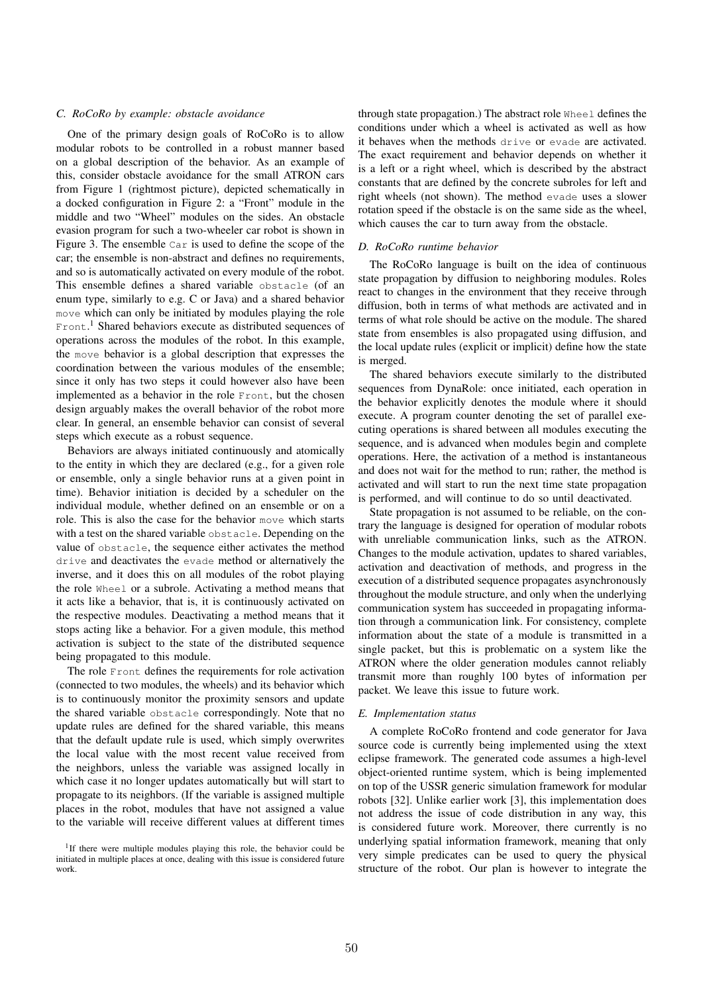## *C. RoCoRo by example: obstacle avoidance*

One of the primary design goals of RoCoRo is to allow modular robots to be controlled in a robust manner based on a global description of the behavior. As an example of this, consider obstacle avoidance for the small ATRON cars from Figure 1 (rightmost picture), depicted schematically in a docked configuration in Figure 2: a "Front" module in the middle and two "Wheel" modules on the sides. An obstacle evasion program for such a two-wheeler car robot is shown in Figure 3. The ensemble Car is used to define the scope of the car; the ensemble is non-abstract and defines no requirements, and so is automatically activated on every module of the robot. This ensemble defines a shared variable obstacle (of an enum type, similarly to e.g. C or Java) and a shared behavior move which can only be initiated by modules playing the role Front.<sup>1</sup> Shared behaviors execute as distributed sequences of operations across the modules of the robot. In this example, the move behavior is a global description that expresses the coordination between the various modules of the ensemble; since it only has two steps it could however also have been implemented as a behavior in the role Front, but the chosen design arguably makes the overall behavior of the robot more clear. In general, an ensemble behavior can consist of several steps which execute as a robust sequence.

Behaviors are always initiated continuously and atomically to the entity in which they are declared (e.g., for a given role or ensemble, only a single behavior runs at a given point in time). Behavior initiation is decided by a scheduler on the individual module, whether defined on an ensemble or on a role. This is also the case for the behavior move which starts with a test on the shared variable obstacle. Depending on the value of obstacle, the sequence either activates the method drive and deactivates the evade method or alternatively the inverse, and it does this on all modules of the robot playing the role Wheel or a subrole. Activating a method means that it acts like a behavior, that is, it is continuously activated on the respective modules. Deactivating a method means that it stops acting like a behavior. For a given module, this method activation is subject to the state of the distributed sequence being propagated to this module.

The role Front defines the requirements for role activation (connected to two modules, the wheels) and its behavior which is to continuously monitor the proximity sensors and update the shared variable obstacle correspondingly. Note that no update rules are defined for the shared variable, this means that the default update rule is used, which simply overwrites the local value with the most recent value received from the neighbors, unless the variable was assigned locally in which case it no longer updates automatically but will start to propagate to its neighbors. (If the variable is assigned multiple places in the robot, modules that have not assigned a value to the variable will receive different values at different times through state propagation.) The abstract role Wheel defines the conditions under which a wheel is activated as well as how it behaves when the methods drive or evade are activated. The exact requirement and behavior depends on whether it is a left or a right wheel, which is described by the abstract constants that are defined by the concrete subroles for left and right wheels (not shown). The method evade uses a slower rotation speed if the obstacle is on the same side as the wheel, which causes the car to turn away from the obstacle.

### *D. RoCoRo runtime behavior*

The RoCoRo language is built on the idea of continuous state propagation by diffusion to neighboring modules. Roles react to changes in the environment that they receive through diffusion, both in terms of what methods are activated and in terms of what role should be active on the module. The shared state from ensembles is also propagated using diffusion, and the local update rules (explicit or implicit) define how the state is merged.

The shared behaviors execute similarly to the distributed sequences from DynaRole: once initiated, each operation in the behavior explicitly denotes the module where it should execute. A program counter denoting the set of parallel executing operations is shared between all modules executing the sequence, and is advanced when modules begin and complete operations. Here, the activation of a method is instantaneous and does not wait for the method to run; rather, the method is activated and will start to run the next time state propagation is performed, and will continue to do so until deactivated.

State propagation is not assumed to be reliable, on the contrary the language is designed for operation of modular robots with unreliable communication links, such as the ATRON. Changes to the module activation, updates to shared variables, activation and deactivation of methods, and progress in the execution of a distributed sequence propagates asynchronously throughout the module structure, and only when the underlying communication system has succeeded in propagating information through a communication link. For consistency, complete information about the state of a module is transmitted in a single packet, but this is problematic on a system like the ATRON where the older generation modules cannot reliably transmit more than roughly 100 bytes of information per packet. We leave this issue to future work.

#### *E. Implementation status*

A complete RoCoRo frontend and code generator for Java source code is currently being implemented using the xtext eclipse framework. The generated code assumes a high-level object-oriented runtime system, which is being implemented on top of the USSR generic simulation framework for modular robots [32]. Unlike earlier work [3], this implementation does not address the issue of code distribution in any way, this is considered future work. Moreover, there currently is no underlying spatial information framework, meaning that only very simple predicates can be used to query the physical structure of the robot. Our plan is however to integrate the

<sup>&</sup>lt;sup>1</sup>If there were multiple modules playing this role, the behavior could be initiated in multiple places at once, dealing with this issue is considered future work.